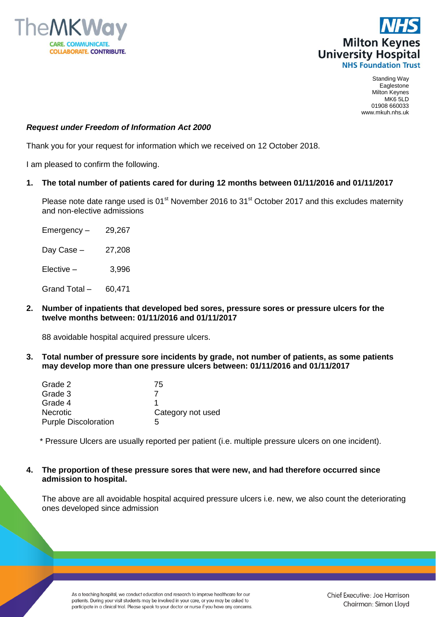



Standing Way Eaglestone Milton Keynes MK6 5LD 01908 660033 www.mkuh.nhs.uk

## *Request under Freedom of Information Act 2000*

Thank you for your request for information which we received on 12 October 2018.

I am pleased to confirm the following.

## **1. The total number of patients cared for during 12 months between 01/11/2016 and 01/11/2017**

Please note date range used is  $01<sup>st</sup>$  November 2016 to  $31<sup>st</sup>$  October 2017 and this excludes maternity and non-elective admissions

- $E$ mergency 29,267 Day Case – 27,208  $Elective - 3.996$ Grand Total – 60,471
- **2. Number of inpatients that developed bed sores, pressure sores or pressure ulcers for the twelve months between: 01/11/2016 and 01/11/2017**

88 avoidable hospital acquired pressure ulcers.

**3. Total number of pressure sore incidents by grade, not number of patients, as some patients may develop more than one pressure ulcers between: 01/11/2016 and 01/11/2017**

| 75                |
|-------------------|
|                   |
|                   |
| Category not used |
| 5                 |
|                   |

\* Pressure Ulcers are usually reported per patient (i.e. multiple pressure ulcers on one incident).

**4. The proportion of these pressure sores that were new, and had therefore occurred since admission to hospital.**

The above are all avoidable hospital acquired pressure ulcers i.e. new, we also count the deteriorating ones developed since admission

As a teaching hospital, we conduct education and research to improve healthcare for our patients. During your visit students may be involved in your care, or you may be asked to participate in a clinical trial. Please speak to your doctor or nurse if you have any concerns.